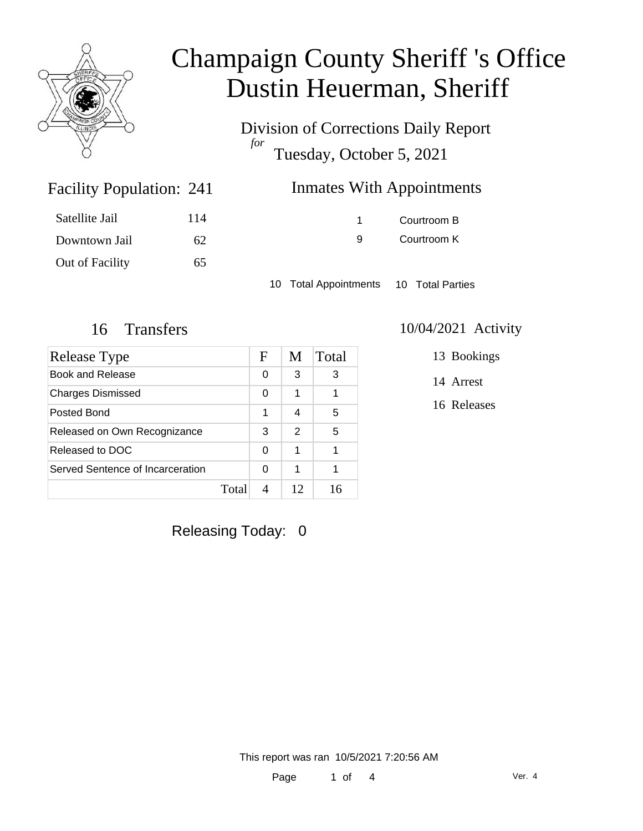

Division of Corrections Daily Report *for* Tuesday, October 5, 2021

## Inmates With Appointments

| Satellite Jail  | 114 |
|-----------------|-----|
| Downtown Jail   | 62  |
| Out of Facility | 65  |

Facility Population: 241

1 Courtroom B 9 Courtroom K

10 Total Appointments 10 Total Parties

| Release Type                     |       | F | M  | Total |
|----------------------------------|-------|---|----|-------|
| <b>Book and Release</b>          |       | 0 | 3  | 3     |
| <b>Charges Dismissed</b>         |       | 0 | 1  |       |
| Posted Bond                      |       | 1 | 4  | 5     |
| Released on Own Recognizance     |       | 3 | 2  | 5     |
| Released to DOC                  |       | 0 | 1  |       |
| Served Sentence of Incarceration |       | 0 | 1  |       |
|                                  | Total |   | 12 |       |

### 16 Transfers 10/04/2021 Activity

13 Bookings

14 Arrest

16 Releases

Releasing Today: 0

This report was ran 10/5/2021 7:20:56 AM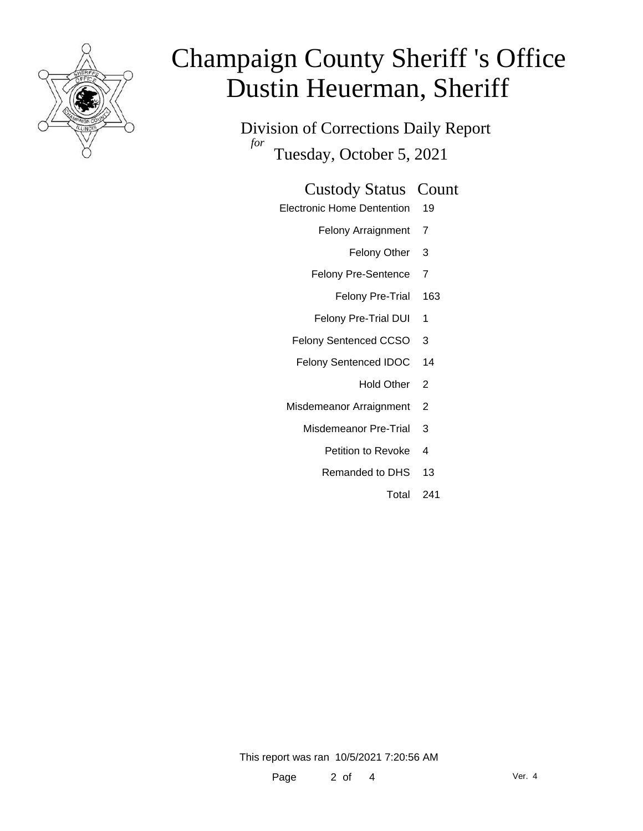

Division of Corrections Daily Report *for* Tuesday, October 5, 2021

### Custody Status Count

- Electronic Home Dentention 19
	- Felony Arraignment 7
		- Felony Other 3
	- Felony Pre-Sentence 7
		- Felony Pre-Trial 163
	- Felony Pre-Trial DUI 1
	- Felony Sentenced CCSO 3
	- Felony Sentenced IDOC 14
		- Hold Other<sub>2</sub>
	- Misdemeanor Arraignment 2
		- Misdemeanor Pre-Trial 3
			- Petition to Revoke 4
			- Remanded to DHS 13
				- Total 241

This report was ran 10/5/2021 7:20:56 AM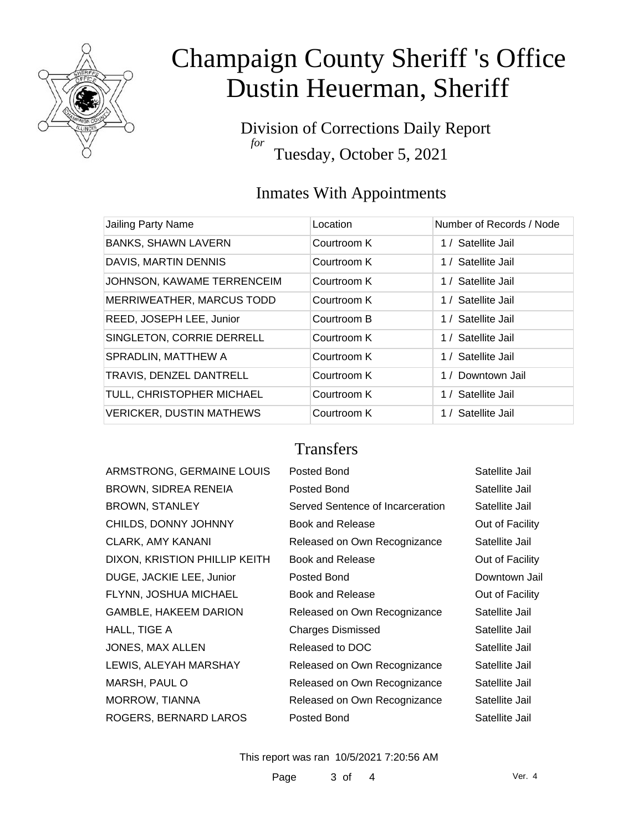

Division of Corrections Daily Report *for* Tuesday, October 5, 2021

### Inmates With Appointments

| Jailing Party Name              | Location    | Number of Records / Node |
|---------------------------------|-------------|--------------------------|
| <b>BANKS, SHAWN LAVERN</b>      | Courtroom K | 1 / Satellite Jail       |
| DAVIS, MARTIN DENNIS            | Courtroom K | 1 / Satellite Jail       |
| JOHNSON, KAWAME TERRENCEIM      | Courtroom K | 1 / Satellite Jail       |
| MERRIWEATHER, MARCUS TODD       | Courtroom K | 1 / Satellite Jail       |
| REED, JOSEPH LEE, Junior        | Courtroom B | 1 / Satellite Jail       |
| SINGLETON, CORRIE DERRELL       | Courtroom K | 1 / Satellite Jail       |
| SPRADLIN, MATTHEW A             | Courtroom K | 1 / Satellite Jail       |
| TRAVIS, DENZEL DANTRELL         | Courtroom K | 1 / Downtown Jail        |
| TULL, CHRISTOPHER MICHAEL       | Courtroom K | 1 / Satellite Jail       |
| <b>VERICKER, DUSTIN MATHEWS</b> | Courtroom K | 1 / Satellite Jail       |

### **Transfers**

| ARMSTRONG, GERMAINE LOUIS     | Posted Bond                      | Satellite Jail  |
|-------------------------------|----------------------------------|-----------------|
| <b>BROWN, SIDREA RENEIA</b>   | Posted Bond                      | Satellite Jail  |
| <b>BROWN, STANLEY</b>         | Served Sentence of Incarceration | Satellite Jail  |
| CHILDS, DONNY JOHNNY          | <b>Book and Release</b>          | Out of Facility |
| <b>CLARK, AMY KANANI</b>      | Released on Own Recognizance     | Satellite Jail  |
| DIXON, KRISTION PHILLIP KEITH | Book and Release                 | Out of Facility |
| DUGE, JACKIE LEE, Junior      | Posted Bond                      | Downtown Jail   |
| FLYNN, JOSHUA MICHAEL         | Book and Release                 | Out of Facility |
| <b>GAMBLE, HAKEEM DARION</b>  | Released on Own Recognizance     | Satellite Jail  |
| HALL, TIGE A                  | <b>Charges Dismissed</b>         | Satellite Jail  |
| JONES, MAX ALLEN              | Released to DOC                  | Satellite Jail  |
| LEWIS, ALEYAH MARSHAY         | Released on Own Recognizance     | Satellite Jail  |
| MARSH, PAUL O                 | Released on Own Recognizance     | Satellite Jail  |
| MORROW, TIANNA                | Released on Own Recognizance     | Satellite Jail  |
| ROGERS, BERNARD LAROS         | Posted Bond                      | Satellite Jail  |